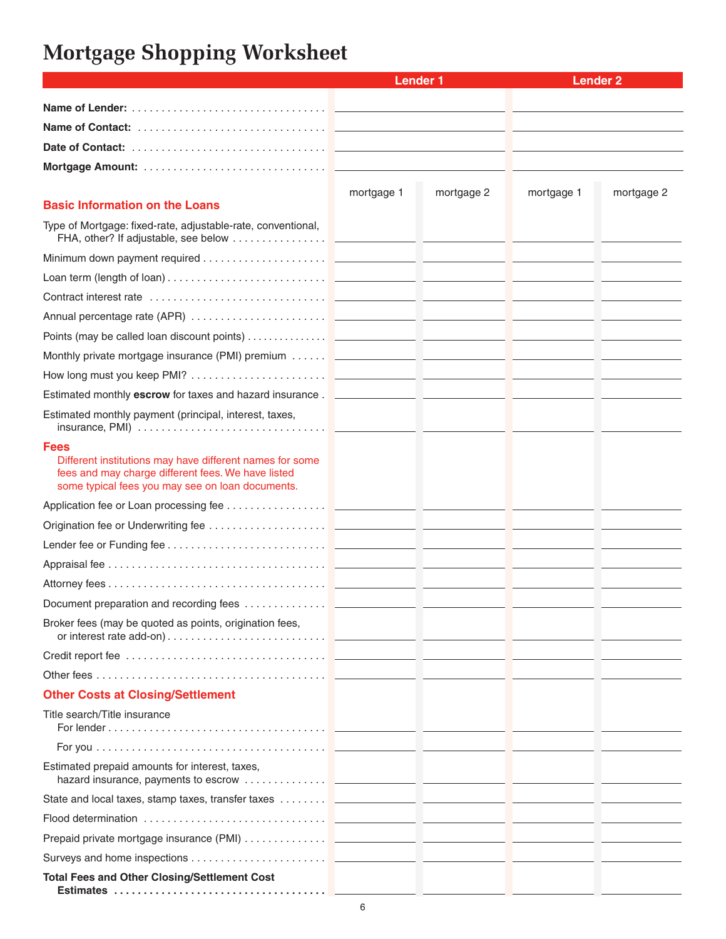## **Mortgage Shopping Worksheet**

|                                                                                                                                                                                                                                | <b>Lender 1</b> |            | <b>Lender 2</b> |            |
|--------------------------------------------------------------------------------------------------------------------------------------------------------------------------------------------------------------------------------|-----------------|------------|-----------------|------------|
|                                                                                                                                                                                                                                |                 |            |                 |            |
|                                                                                                                                                                                                                                |                 |            |                 |            |
|                                                                                                                                                                                                                                |                 |            |                 |            |
|                                                                                                                                                                                                                                |                 |            |                 |            |
|                                                                                                                                                                                                                                |                 |            |                 |            |
| <b>Basic Information on the Loans</b>                                                                                                                                                                                          | mortgage 1      | mortgage 2 | mortgage 1      | mortgage 2 |
| Type of Mortgage: fixed-rate, adjustable-rate, conventional,                                                                                                                                                                   |                 |            |                 |            |
|                                                                                                                                                                                                                                |                 |            |                 |            |
|                                                                                                                                                                                                                                |                 |            |                 |            |
| Contract interest rate encourance and a series of the contract interest rate of the contract interest rate of the contract of the contract interest rate of the contract of the contract of the contract of the contract of th |                 |            |                 |            |
|                                                                                                                                                                                                                                |                 |            |                 |            |
|                                                                                                                                                                                                                                |                 |            |                 |            |
|                                                                                                                                                                                                                                |                 |            |                 |            |
|                                                                                                                                                                                                                                |                 |            |                 |            |
|                                                                                                                                                                                                                                |                 |            |                 |            |
| Estimated monthly payment (principal, interest, taxes,                                                                                                                                                                         |                 |            |                 |            |
| <b>Fees</b>                                                                                                                                                                                                                    |                 |            |                 |            |
| Different institutions may have different names for some<br>fees and may charge different fees. We have listed<br>some typical fees you may see on loan documents.                                                             |                 |            |                 |            |
|                                                                                                                                                                                                                                |                 |            |                 |            |
|                                                                                                                                                                                                                                |                 |            |                 |            |
|                                                                                                                                                                                                                                |                 |            |                 |            |
|                                                                                                                                                                                                                                |                 |            |                 |            |
|                                                                                                                                                                                                                                |                 |            |                 |            |
| Document preparation and recording fees                                                                                                                                                                                        |                 |            |                 |            |
| Broker fees (may be quoted as points, origination fees,                                                                                                                                                                        |                 |            |                 |            |
|                                                                                                                                                                                                                                |                 |            |                 |            |
|                                                                                                                                                                                                                                |                 |            |                 |            |
| <b>Other Costs at Closing/Settlement</b>                                                                                                                                                                                       |                 |            |                 |            |
| Title search/Title insurance                                                                                                                                                                                                   |                 |            |                 |            |
|                                                                                                                                                                                                                                |                 |            |                 |            |
| Estimated prepaid amounts for interest, taxes,                                                                                                                                                                                 |                 |            |                 |            |
| State and local taxes, stamp taxes, transfer taxes <b>Example 20 and State and local taxes</b> , stamp taxes, transfer taxes <b>Example 20 and 20 and 20 and 20 and 20 and 20 and 20 and 20 and 20 and</b>                     |                 |            |                 |            |
|                                                                                                                                                                                                                                |                 |            |                 |            |
|                                                                                                                                                                                                                                |                 |            |                 |            |
|                                                                                                                                                                                                                                |                 |            |                 |            |
| <b>Total Fees and Other Closing/Settlement Cost</b>                                                                                                                                                                            |                 |            |                 |            |
|                                                                                                                                                                                                                                |                 |            |                 |            |